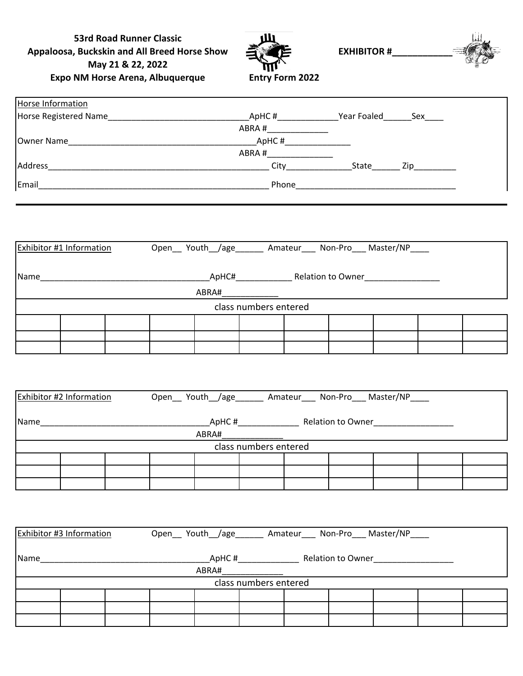**53rd Road Runner Classic Appaloosa, Buckskin and All Breed Horse Show May 21 & 22, 2022 Expo NM Horse Arena, Albuquerque Entry Form 2022**



**EXHIBITOR #\_\_\_\_\_\_\_\_\_\_\_\_**



| Horse Information     |       |             |     |
|-----------------------|-------|-------------|-----|
| Horse Registered Name | ApHC# | Year Foaled | Sex |
|                       | ABRA# |             |     |
| Owner Name            | ApHC# |             |     |
|                       | ABRA# |             |     |
| Address               | City  | State       | Zip |
| Email                 | Phone |             |     |

|      | Exhibitor #1 Information |  | Open__ Youth__/age_______ Amateur___ Non-Pro___ Master/NP____ |                       |                          |  |  |
|------|--------------------------|--|---------------------------------------------------------------|-----------------------|--------------------------|--|--|
| Name |                          |  | ApHC#                                                         |                       | <b>Relation to Owner</b> |  |  |
|      |                          |  | ABRA#                                                         |                       |                          |  |  |
|      |                          |  |                                                               | class numbers entered |                          |  |  |
|      |                          |  |                                                               |                       |                          |  |  |
|      |                          |  |                                                               |                       |                          |  |  |
|      |                          |  |                                                               |                       |                          |  |  |

|      | Exhibitor #2 Information |  | Open Youth /age |                       | Amateur Non-Pro Master/NP |  |  |
|------|--------------------------|--|-----------------|-----------------------|---------------------------|--|--|
| Name |                          |  | ApHC#           |                       | <b>Relation to Owner</b>  |  |  |
|      |                          |  | ABRA#           |                       |                           |  |  |
|      |                          |  |                 | class numbers entered |                           |  |  |
|      |                          |  |                 |                       |                           |  |  |
|      |                          |  |                 |                       |                           |  |  |
|      |                          |  |                 |                       |                           |  |  |

| <b>Exhibitor #3 Information</b> |  |  |                | Open Youth /age Manateur Non-Pro Master/NP |                          |  |  |
|---------------------------------|--|--|----------------|--------------------------------------------|--------------------------|--|--|
| Name                            |  |  | ApHC#<br>ABRA# |                                            | <b>Relation to Owner</b> |  |  |
|                                 |  |  |                | class numbers entered                      |                          |  |  |
|                                 |  |  |                |                                            |                          |  |  |
|                                 |  |  |                |                                            |                          |  |  |
|                                 |  |  |                |                                            |                          |  |  |
|                                 |  |  |                |                                            |                          |  |  |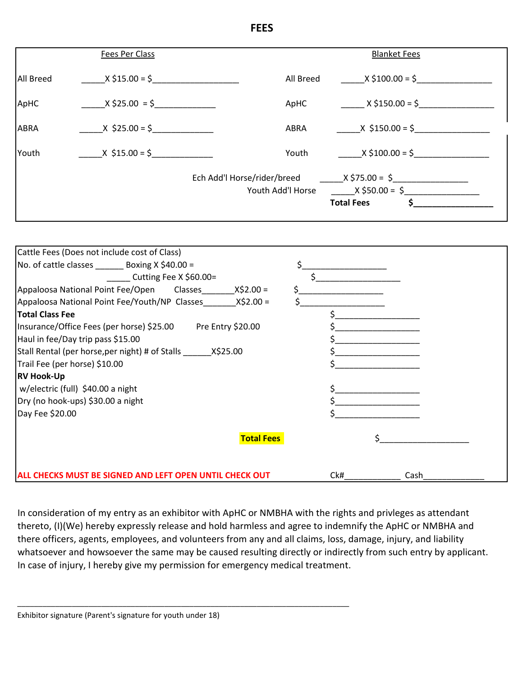|             | Fees Per Class   |           | <b>Blanket Fees</b>                                                                                                   |  |
|-------------|------------------|-----------|-----------------------------------------------------------------------------------------------------------------------|--|
| All Breed   | $X$ \$15.00 = \$ | All Breed | $X \$100.00 = $$                                                                                                      |  |
| ApHC        | $X$ \$25.00 = \$ | ApHC      | $X \, \text{$} 5150.00 = $$                                                                                           |  |
| <b>ABRA</b> | $X$ \$25.00 = \$ | ABRA      | $X$ \$150.00 = \$                                                                                                     |  |
| Youth       | $X$ \$15.00 = \$ | Youth     | $X$ \$100.00 = \$                                                                                                     |  |
|             |                  |           | Ech Add'l Horse/rider/breed $X \xi 75.00 = \xi$<br>Youth Add'l Horse $X \le 50.00 = \frac{1}{5}$<br><b>Total Fees</b> |  |

| ALL CHECKS MUST BE SIGNED AND LEFT OPEN UNTIL CHECK OUT          | Ck#<br>Cash |  |
|------------------------------------------------------------------|-------------|--|
| <b>Total Fees</b>                                                |             |  |
| Day Fee \$20.00                                                  |             |  |
| Dry (no hook-ups) \$30.00 a night                                |             |  |
| w/electric (full) \$40.00 a night                                |             |  |
| <b>RV Hook-Up</b>                                                |             |  |
| Trail Fee (per horse) \$10.00                                    |             |  |
| Stall Rental (per horse, per night) # of Stalls _______ X\$25.00 |             |  |
| Haul in fee/Day trip pass \$15.00                                |             |  |
| Insurance/Office Fees (per horse) \$25.00 Pre Entry \$20.00      |             |  |
| <b>Total Class Fee</b>                                           |             |  |
| Appaloosa National Point Fee/Youth/NP Classes<br>$X$2.00 =$      |             |  |
| Appaloosa National Point Fee/Open<br>$X$2.00 =$<br>Classes       |             |  |
| Cutting Fee X \$60.00=                                           |             |  |
| No. of cattle classes Boxing X \$40.00 =                         |             |  |
| Cattle Fees (Does not include cost of Class)                     |             |  |

In consideration of my entry as an exhibitor with ApHC or NMBHA with the rights and privleges as attendant thereto, (I)(We) hereby expressly release and hold harmless and agree to indemnify the ApHC or NMBHA and there officers, agents, employees, and volunteers from any and all claims, loss, damage, injury, and liability whatsoever and howsoever the same may be caused resulting directly or indirectly from such entry by applicant. In case of injury, I hereby give my permission for emergency medical treatment.

\_\_\_\_\_\_\_\_\_\_\_\_\_\_\_\_\_\_\_\_\_\_\_\_\_\_\_\_\_\_\_\_\_\_\_\_\_\_\_\_\_\_\_\_\_\_\_\_\_\_\_\_\_\_\_\_\_\_\_\_\_\_\_\_\_\_\_\_\_\_\_\_\_\_\_\_\_\_\_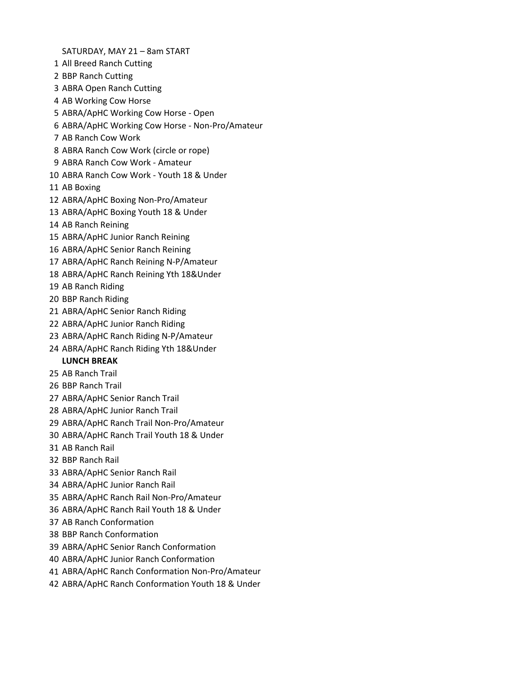SATURDAY, MAY 21 – 8am START

- All Breed Ranch Cutting
- BBP Ranch Cutting
- ABRA Open Ranch Cutting
- AB Working Cow Horse
- ABRA/ApHC Working Cow Horse Open
- ABRA/ApHC Working Cow Horse Non-Pro/Amateur
- AB Ranch Cow Work
- ABRA Ranch Cow Work (circle or rope)
- ABRA Ranch Cow Work Amateur
- ABRA Ranch Cow Work Youth 18 & Under
- AB Boxing
- ABRA/ApHC Boxing Non-Pro/Amateur
- ABRA/ApHC Boxing Youth 18 & Under
- AB Ranch Reining
- ABRA/ApHC Junior Ranch Reining
- ABRA/ApHC Senior Ranch Reining
- ABRA/ApHC Ranch Reining N-P/Amateur
- ABRA/ApHC Ranch Reining Yth 18&Under
- AB Ranch Riding
- BBP Ranch Riding
- ABRA/ApHC Senior Ranch Riding
- ABRA/ApHC Junior Ranch Riding
- ABRA/ApHC Ranch Riding N-P/Amateur
- ABRA/ApHC Ranch Riding Yth 18&Under

## **LUNCH BREAK**

- AB Ranch Trail
- BBP Ranch Trail
- ABRA/ApHC Senior Ranch Trail
- ABRA/ApHC Junior Ranch Trail
- ABRA/ApHC Ranch Trail Non-Pro/Amateur
- ABRA/ApHC Ranch Trail Youth 18 & Under
- AB Ranch Rail
- BBP Ranch Rail
- ABRA/ApHC Senior Ranch Rail
- ABRA/ApHC Junior Ranch Rail
- ABRA/ApHC Ranch Rail Non-Pro/Amateur
- ABRA/ApHC Ranch Rail Youth 18 & Under
- AB Ranch Conformation
- BBP Ranch Conformation
- ABRA/ApHC Senior Ranch Conformation
- ABRA/ApHC Junior Ranch Conformation
- ABRA/ApHC Ranch Conformation Non-Pro/Amateur
- ABRA/ApHC Ranch Conformation Youth 18 & Under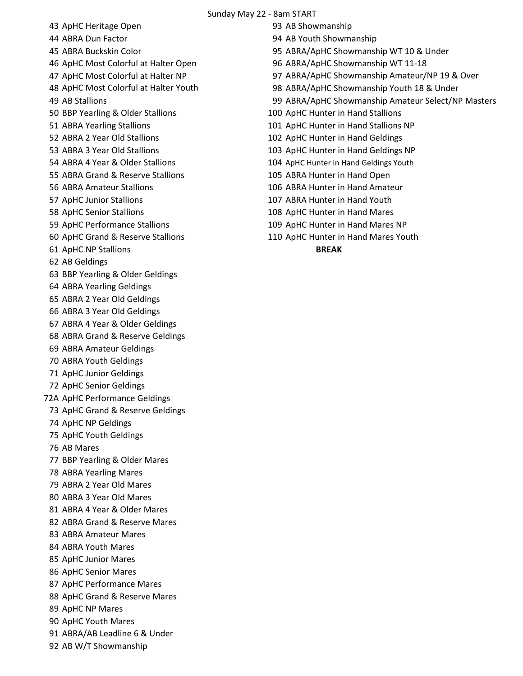Sunday May 22 - 8am START

- ApHC Heritage Open 93 AB Showmanship
- 
- 
- ApHC Most Colorful at Halter Open 96 ABRA/ApHC Showmanship WT 11-18
- 47 ApHC Most Colorful at Halter NP
- ApHC Most Colorful at Halter Youth
- 
- 
- 
- 
- 
- 
- ABRA Grand & Reserve Stallions 105 ABRA Hunter in Hand Open
- 
- 
- 
- 
- 
- ApHC NP Stallions **BREAK**
- AB Geldings
- BBP Yearling & Older Geldings
- ABRA Yearling Geldings
- ABRA 2 Year Old Geldings
- ABRA 3 Year Old Geldings
- ABRA 4 Year & Older Geldings
- ABRA Grand & Reserve Geldings
- ABRA Amateur Geldings
- ABRA Youth Geldings
- ApHC Junior Geldings
- ApHC Senior Geldings
- 72A ApHC Performance Geldings
- ApHC Grand & Reserve Geldings
- ApHC NP Geldings
- ApHC Youth Geldings
- AB Mares
- BBP Yearling & Older Mares
- ABRA Yearling Mares
- ABRA 2 Year Old Mares
- ABRA 3 Year Old Mares
- ABRA 4 Year & Older Mares
- ABRA Grand & Reserve Mares
- ABRA Amateur Mares
- ABRA Youth Mares
- ApHC Junior Mares
- ApHC Senior Mares
- ApHC Performance Mares
- ApHC Grand & Reserve Mares
- ApHC NP Mares
- ApHC Youth Mares
- ABRA/AB Leadline 6 & Under
- AB W/T Showmanship
- 
- ABRA Dun Factor 94 AB Youth Showmanship
- ABRA Buckskin Color 95 ABRA/ApHC Showmanship WT 10 & Under
	-
	- 97 ABRA/ApHC Showmanship Amateur/NP 19 & Over
	- 98 ABRA/ApHC Showmanship Youth 18 & Under
- AB Stallions 99 ABRA/ApHC Showmanship Amateur Select/NP Masters
- BBP Yearling & Older Stallions 100 ApHC Hunter in Hand Stallions
- 51 ABRA Yearling Stallions 101 ApHC Hunter in Hand Stallions NP
- ABRA 2 Year Old Stallions 102 ApHC Hunter in Hand Geldings
- 53 ABRA 3 Year Old Stallions 103 ApHC Hunter in Hand Geldings NP
- ABRA 4 Year & Older Stallions 104 ApHC Hunter in Hand Geldings Youth
	-
- ABRA Amateur Stallions 106 ABRA Hunter in Hand Amateur
- ApHC Junior Stallions 107 ABRA Hunter in Hand Youth
- ApHC Senior Stallions 108 ApHC Hunter in Hand Mares
- 59 ApHC Performance Stallions 109 ApHC Hunter in Hand Mares NP
- ApHC Grand & Reserve Stallions 110 ApHC Hunter in Hand Mares Youth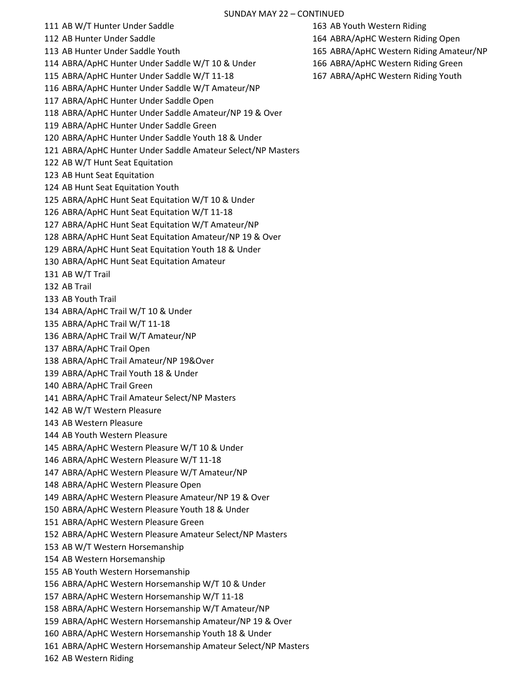## SUNDAY MAY 22 – CONTINUED

- AB W/T Hunter Under Saddle 163 AB Youth Western Riding
- 
- 
- ABRA/ApHC Hunter Under Saddle W/T 10 & Under 166 ABRA/ApHC Western Riding Green
- ABRA/ApHC Hunter Under Saddle W/T 11-18 167 ABRA/ApHC Western Riding Youth
- ABRA/ApHC Hunter Under Saddle W/T Amateur/NP
- ABRA/ApHC Hunter Under Saddle Open
- ABRA/ApHC Hunter Under Saddle Amateur/NP 19 & Over
- ABRA/ApHC Hunter Under Saddle Green
- ABRA/ApHC Hunter Under Saddle Youth 18 & Under
- ABRA/ApHC Hunter Under Saddle Amateur Select/NP Masters
- AB W/T Hunt Seat Equitation
- AB Hunt Seat Equitation
- AB Hunt Seat Equitation Youth
- ABRA/ApHC Hunt Seat Equitation W/T 10 & Under
- ABRA/ApHC Hunt Seat Equitation W/T 11-18
- ABRA/ApHC Hunt Seat Equitation W/T Amateur/NP
- ABRA/ApHC Hunt Seat Equitation Amateur/NP 19 & Over
- ABRA/ApHC Hunt Seat Equitation Youth 18 & Under
- ABRA/ApHC Hunt Seat Equitation Amateur
- AB W/T Trail
- AB Trail
- AB Youth Trail
- ABRA/ApHC Trail W/T 10 & Under
- ABRA/ApHC Trail W/T 11-18
- ABRA/ApHC Trail W/T Amateur/NP
- ABRA/ApHC Trail Open
- ABRA/ApHC Trail Amateur/NP 19&Over
- ABRA/ApHC Trail Youth 18 & Under
- ABRA/ApHC Trail Green
- ABRA/ApHC Trail Amateur Select/NP Masters
- AB W/T Western Pleasure
- AB Western Pleasure
- AB Youth Western Pleasure
- ABRA/ApHC Western Pleasure W/T 10 & Under
- ABRA/ApHC Western Pleasure W/T 11-18
- ABRA/ApHC Western Pleasure W/T Amateur/NP
- ABRA/ApHC Western Pleasure Open
- ABRA/ApHC Western Pleasure Amateur/NP 19 & Over
- ABRA/ApHC Western Pleasure Youth 18 & Under
- ABRA/ApHC Western Pleasure Green
- ABRA/ApHC Western Pleasure Amateur Select/NP Masters
- AB W/T Western Horsemanship
- AB Western Horsemanship
- AB Youth Western Horsemanship
- ABRA/ApHC Western Horsemanship W/T 10 & Under
- ABRA/ApHC Western Horsemanship W/T 11-18
- ABRA/ApHC Western Horsemanship W/T Amateur/NP
- ABRA/ApHC Western Horsemanship Amateur/NP 19 & Over
- ABRA/ApHC Western Horsemanship Youth 18 & Under
- ABRA/ApHC Western Horsemanship Amateur Select/NP Masters
- AB Western Riding
- 
- 112 AB Hunter Under Saddle 164 ABRA/ApHC Western Riding Open
- AB Hunter Under Saddle Youth 165 ABRA/ApHC Western Riding Amateur/NP
	-
	-